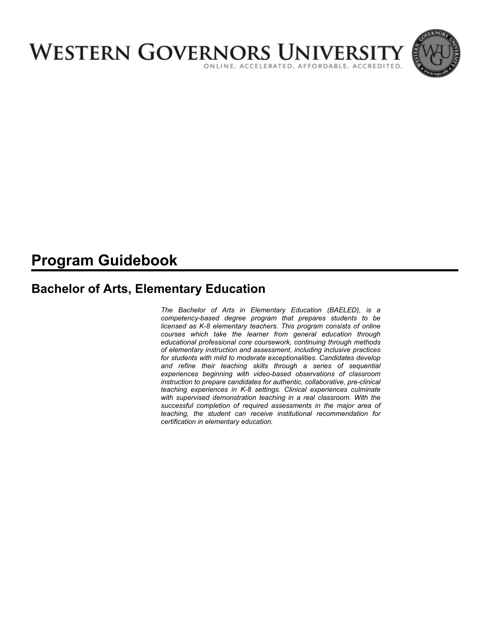

# **Program Guidebook**

# **Bachelor of Arts, Elementary Education**

*The Bachelor of Arts in Elementary Education (BAELED), is a competency-based degree program that prepares students to be licensed as K-8 elementary teachers. This program consists of online courses which take the learner from general education through educational professional core coursework, continuing through methods of elementary instruction and assessment, including inclusive practices for students with mild to moderate exceptionalities. Candidates develop and refine their teaching skills through a series of sequential experiences beginning with video-based observations of classroom instruction to prepare candidates for authentic, collaborative, pre-clinical teaching experiences in K-8 settings. Clinical experiences culminate with supervised demonstration teaching in a real classroom. With the successful completion of required assessments in the major area of teaching, the student can receive institutional recommendation for certification in elementary education.*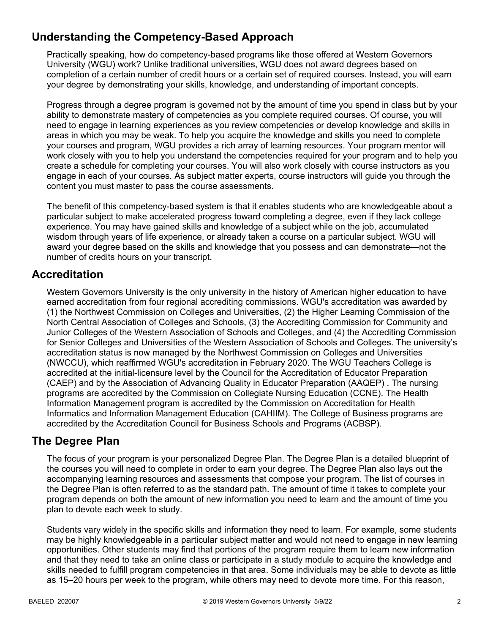# **Understanding the Competency-Based Approach**

Practically speaking, how do competency-based programs like those offered at Western Governors University (WGU) work? Unlike traditional universities, WGU does not award degrees based on completion of a certain number of credit hours or a certain set of required courses. Instead, you will earn your degree by demonstrating your skills, knowledge, and understanding of important concepts.

Progress through a degree program is governed not by the amount of time you spend in class but by your ability to demonstrate mastery of competencies as you complete required courses. Of course, you will need to engage in learning experiences as you review competencies or develop knowledge and skills in areas in which you may be weak. To help you acquire the knowledge and skills you need to complete your courses and program, WGU provides a rich array of learning resources. Your program mentor will work closely with you to help you understand the competencies required for your program and to help you create a schedule for completing your courses. You will also work closely with course instructors as you engage in each of your courses. As subject matter experts, course instructors will guide you through the content you must master to pass the course assessments.

The benefit of this competency-based system is that it enables students who are knowledgeable about a particular subject to make accelerated progress toward completing a degree, even if they lack college experience. You may have gained skills and knowledge of a subject while on the job, accumulated wisdom through years of life experience, or already taken a course on a particular subject. WGU will award your degree based on the skills and knowledge that you possess and can demonstrate—not the number of credits hours on your transcript.

# **Accreditation**

Western Governors University is the only university in the history of American higher education to have earned accreditation from four regional accrediting commissions. WGU's accreditation was awarded by (1) the Northwest Commission on Colleges and Universities, (2) the Higher Learning Commission of the North Central Association of Colleges and Schools, (3) the Accrediting Commission for Community and Junior Colleges of the Western Association of Schools and Colleges, and (4) the Accrediting Commission for Senior Colleges and Universities of the Western Association of Schools and Colleges. The university's accreditation status is now managed by the Northwest Commission on Colleges and Universities (NWCCU), which reaffirmed WGU's accreditation in February 2020. The WGU Teachers College is accredited at the initial-licensure level by the Council for the Accreditation of Educator Preparation (CAEP) and by the Association of Advancing Quality in Educator Preparation (AAQEP) . The nursing programs are accredited by the Commission on Collegiate Nursing Education (CCNE). The Health Information Management program is accredited by the Commission on Accreditation for Health Informatics and Information Management Education (CAHIIM). The College of Business programs are accredited by the Accreditation Council for Business Schools and Programs (ACBSP).

# **The Degree Plan**

The focus of your program is your personalized Degree Plan. The Degree Plan is a detailed blueprint of the courses you will need to complete in order to earn your degree. The Degree Plan also lays out the accompanying learning resources and assessments that compose your program. The list of courses in the Degree Plan is often referred to as the standard path. The amount of time it takes to complete your program depends on both the amount of new information you need to learn and the amount of time you plan to devote each week to study.

Students vary widely in the specific skills and information they need to learn. For example, some students may be highly knowledgeable in a particular subject matter and would not need to engage in new learning opportunities. Other students may find that portions of the program require them to learn new information and that they need to take an online class or participate in a study module to acquire the knowledge and skills needed to fulfill program competencies in that area. Some individuals may be able to devote as little as 15–20 hours per week to the program, while others may need to devote more time. For this reason,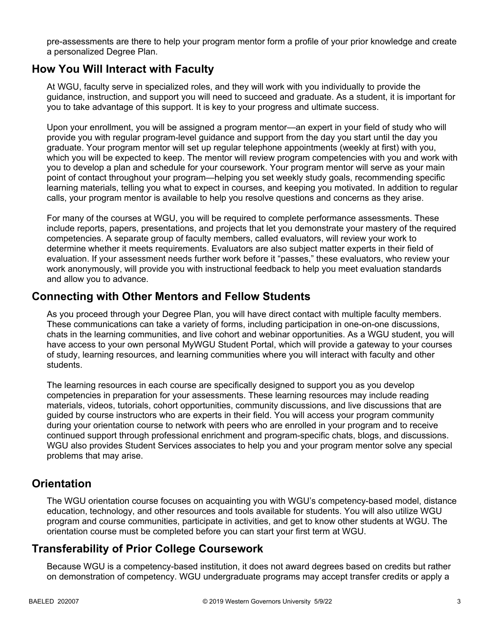pre-assessments are there to help your program mentor form a profile of your prior knowledge and create a personalized Degree Plan.

# **How You Will Interact with Faculty**

At WGU, faculty serve in specialized roles, and they will work with you individually to provide the guidance, instruction, and support you will need to succeed and graduate. As a student, it is important for you to take advantage of this support. It is key to your progress and ultimate success.

Upon your enrollment, you will be assigned a program mentor—an expert in your field of study who will provide you with regular program-level guidance and support from the day you start until the day you graduate. Your program mentor will set up regular telephone appointments (weekly at first) with you, which you will be expected to keep. The mentor will review program competencies with you and work with you to develop a plan and schedule for your coursework. Your program mentor will serve as your main point of contact throughout your program—helping you set weekly study goals, recommending specific learning materials, telling you what to expect in courses, and keeping you motivated. In addition to regular calls, your program mentor is available to help you resolve questions and concerns as they arise.

For many of the courses at WGU, you will be required to complete performance assessments. These include reports, papers, presentations, and projects that let you demonstrate your mastery of the required competencies. A separate group of faculty members, called evaluators, will review your work to determine whether it meets requirements. Evaluators are also subject matter experts in their field of evaluation. If your assessment needs further work before it "passes," these evaluators, who review your work anonymously, will provide you with instructional feedback to help you meet evaluation standards and allow you to advance.

# **Connecting with Other Mentors and Fellow Students**

As you proceed through your Degree Plan, you will have direct contact with multiple faculty members. These communications can take a variety of forms, including participation in one-on-one discussions, chats in the learning communities, and live cohort and webinar opportunities. As a WGU student, you will have access to your own personal MyWGU Student Portal, which will provide a gateway to your courses of study, learning resources, and learning communities where you will interact with faculty and other students.

The learning resources in each course are specifically designed to support you as you develop competencies in preparation for your assessments. These learning resources may include reading materials, videos, tutorials, cohort opportunities, community discussions, and live discussions that are guided by course instructors who are experts in their field. You will access your program community during your orientation course to network with peers who are enrolled in your program and to receive continued support through professional enrichment and program-specific chats, blogs, and discussions. WGU also provides Student Services associates to help you and your program mentor solve any special problems that may arise.

# **Orientation**

The WGU orientation course focuses on acquainting you with WGU's competency-based model, distance education, technology, and other resources and tools available for students. You will also utilize WGU program and course communities, participate in activities, and get to know other students at WGU. The orientation course must be completed before you can start your first term at WGU.

# **Transferability of Prior College Coursework**

Because WGU is a competency-based institution, it does not award degrees based on credits but rather on demonstration of competency. WGU undergraduate programs may accept transfer credits or apply a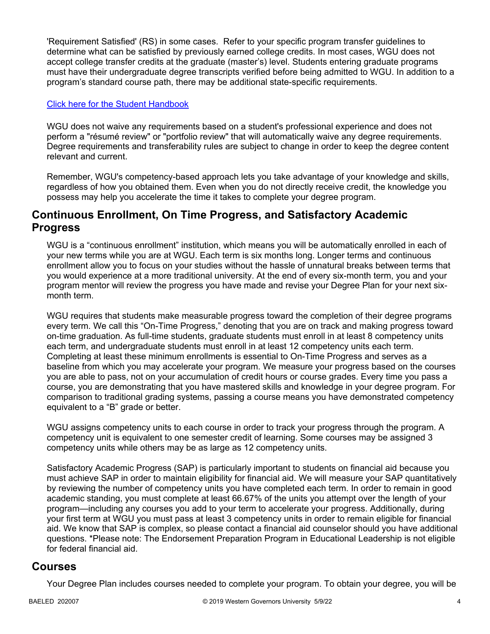'Requirement Satisfied' (RS) in some cases. Refer to your specific program transfer guidelines to determine what can be satisfied by previously earned college credits. In most cases, WGU does not accept college transfer credits at the graduate (master's) level. Students entering graduate programs must have their undergraduate degree transcripts verified before being admitted to WGU. In addition to a program's standard course path, there may be additional state-specific requirements.

## [Click here for the Student Handbook](http://cm.wgu.edu/)

WGU does not waive any requirements based on a student's professional experience and does not perform a "résumé review" or "portfolio review" that will automatically waive any degree requirements. Degree requirements and transferability rules are subject to change in order to keep the degree content relevant and current.

Remember, WGU's competency-based approach lets you take advantage of your knowledge and skills, regardless of how you obtained them. Even when you do not directly receive credit, the knowledge you possess may help you accelerate the time it takes to complete your degree program.

# **Continuous Enrollment, On Time Progress, and Satisfactory Academic Progress**

WGU is a "continuous enrollment" institution, which means you will be automatically enrolled in each of your new terms while you are at WGU. Each term is six months long. Longer terms and continuous enrollment allow you to focus on your studies without the hassle of unnatural breaks between terms that you would experience at a more traditional university. At the end of every six-month term, you and your program mentor will review the progress you have made and revise your Degree Plan for your next sixmonth term.

WGU requires that students make measurable progress toward the completion of their degree programs every term. We call this "On-Time Progress," denoting that you are on track and making progress toward on-time graduation. As full-time students, graduate students must enroll in at least 8 competency units each term, and undergraduate students must enroll in at least 12 competency units each term. Completing at least these minimum enrollments is essential to On-Time Progress and serves as a baseline from which you may accelerate your program. We measure your progress based on the courses you are able to pass, not on your accumulation of credit hours or course grades. Every time you pass a course, you are demonstrating that you have mastered skills and knowledge in your degree program. For comparison to traditional grading systems, passing a course means you have demonstrated competency equivalent to a "B" grade or better.

WGU assigns competency units to each course in order to track your progress through the program. A competency unit is equivalent to one semester credit of learning. Some courses may be assigned 3 competency units while others may be as large as 12 competency units.

Satisfactory Academic Progress (SAP) is particularly important to students on financial aid because you must achieve SAP in order to maintain eligibility for financial aid. We will measure your SAP quantitatively by reviewing the number of competency units you have completed each term. In order to remain in good academic standing, you must complete at least 66.67% of the units you attempt over the length of your program—including any courses you add to your term to accelerate your progress. Additionally, during your first term at WGU you must pass at least 3 competency units in order to remain eligible for financial aid. We know that SAP is complex, so please contact a financial aid counselor should you have additional questions. \*Please note: The Endorsement Preparation Program in Educational Leadership is not eligible for federal financial aid.

# **Courses**

Your Degree Plan includes courses needed to complete your program. To obtain your degree, you will be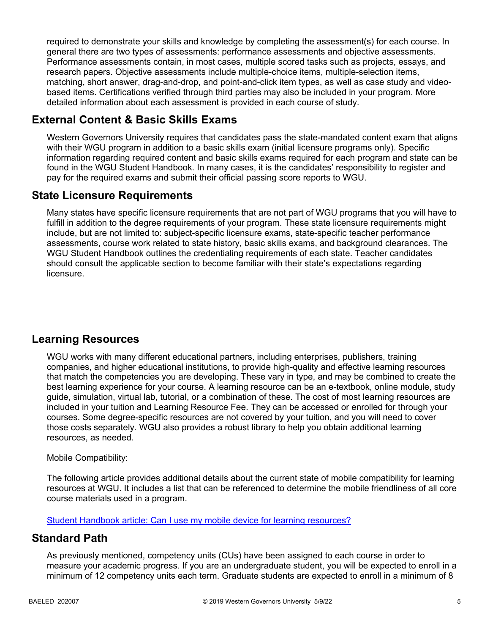required to demonstrate your skills and knowledge by completing the assessment(s) for each course. In general there are two types of assessments: performance assessments and objective assessments. Performance assessments contain, in most cases, multiple scored tasks such as projects, essays, and research papers. Objective assessments include multiple-choice items, multiple-selection items, matching, short answer, drag-and-drop, and point-and-click item types, as well as case study and videobased items. Certifications verified through third parties may also be included in your program. More detailed information about each assessment is provided in each course of study.

# **External Content & Basic Skills Exams**

Western Governors University requires that candidates pass the state-mandated content exam that aligns with their WGU program in addition to a basic skills exam (initial licensure programs only). Specific information regarding required content and basic skills exams required for each program and state can be found in the WGU Student Handbook. In many cases, it is the candidates' responsibility to register and pay for the required exams and submit their official passing score reports to WGU.

# **State Licensure Requirements**

Many states have specific licensure requirements that are not part of WGU programs that you will have to fulfill in addition to the degree requirements of your program. These state licensure requirements might include, but are not limited to: subject-specific licensure exams, state-specific teacher performance assessments, course work related to state history, basic skills exams, and background clearances. The WGU Student Handbook outlines the credentialing requirements of each state. Teacher candidates should consult the applicable section to become familiar with their state's expectations regarding licensure.

# **Learning Resources**

WGU works with many different educational partners, including enterprises, publishers, training companies, and higher educational institutions, to provide high-quality and effective learning resources that match the competencies you are developing. These vary in type, and may be combined to create the best learning experience for your course. A learning resource can be an e-textbook, online module, study guide, simulation, virtual lab, tutorial, or a combination of these. The cost of most learning resources are included in your tuition and Learning Resource Fee. They can be accessed or enrolled for through your courses. Some degree-specific resources are not covered by your tuition, and you will need to cover those costs separately. WGU also provides a robust library to help you obtain additional learning resources, as needed.

## Mobile Compatibility:

The following article provides additional details about the current state of mobile compatibility for learning resources at WGU. It includes a list that can be referenced to determine the mobile friendliness of all core course materials used in a program.

[Student Handbook article: Can I use my mobile device for learning resources?](https://cm.wgu.edu/t5/Frequently-Asked-Questions/Can-I-use-my-mobile-device-for-learning-resources/ta-p/396)

# **Standard Path**

As previously mentioned, competency units (CUs) have been assigned to each course in order to measure your academic progress. If you are an undergraduate student, you will be expected to enroll in a minimum of 12 competency units each term. Graduate students are expected to enroll in a minimum of 8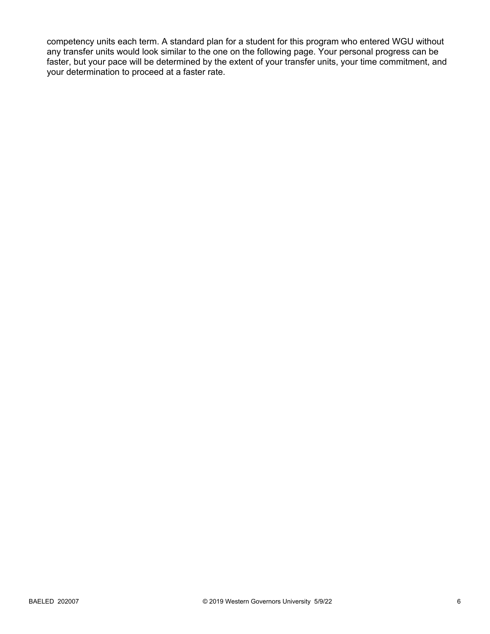competency units each term. A standard plan for a student for this program who entered WGU without any transfer units would look similar to the one on the following page. Your personal progress can be faster, but your pace will be determined by the extent of your transfer units, your time commitment, and your determination to proceed at a faster rate.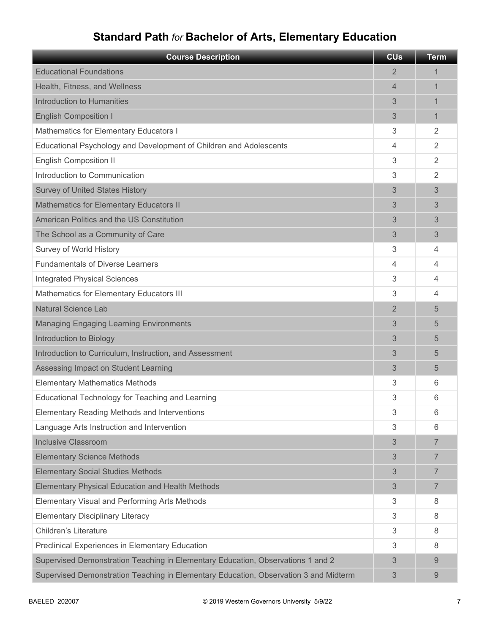# **Standard Path** *for* **Bachelor of Arts, Elementary Education**

| <b>Course Description</b>                                                            | <b>CU<sub>s</sub></b> | <b>Term</b>    |
|--------------------------------------------------------------------------------------|-----------------------|----------------|
| <b>Educational Foundations</b>                                                       | 2                     | 1              |
| Health, Fitness, and Wellness                                                        | $\overline{4}$        | 1              |
| Introduction to Humanities                                                           | 3                     | 1              |
| <b>English Composition I</b>                                                         | 3                     | 1              |
| Mathematics for Elementary Educators I                                               | 3                     | $\overline{2}$ |
| Educational Psychology and Development of Children and Adolescents                   | 4                     | $\overline{2}$ |
| <b>English Composition II</b>                                                        | 3                     | $\overline{2}$ |
| Introduction to Communication                                                        | 3                     | $\overline{2}$ |
| <b>Survey of United States History</b>                                               | 3                     | 3              |
| <b>Mathematics for Elementary Educators II</b>                                       | 3                     | 3              |
| American Politics and the US Constitution                                            | 3                     | 3              |
| The School as a Community of Care                                                    | 3                     | 3              |
| Survey of World History                                                              | 3                     | 4              |
| <b>Fundamentals of Diverse Learners</b>                                              | 4                     | 4              |
| <b>Integrated Physical Sciences</b>                                                  | 3                     | 4              |
| Mathematics for Elementary Educators III                                             | 3                     | 4              |
| <b>Natural Science Lab</b>                                                           | $\overline{2}$        | 5              |
| <b>Managing Engaging Learning Environments</b>                                       | 3                     | 5              |
| Introduction to Biology                                                              | 3                     | 5              |
| Introduction to Curriculum, Instruction, and Assessment                              | 3                     | 5              |
| Assessing Impact on Student Learning                                                 | 3                     | 5              |
| <b>Elementary Mathematics Methods</b>                                                | 3                     | 6              |
| Educational Technology for Teaching and Learning                                     | 3                     | 6              |
| <b>Elementary Reading Methods and Interventions</b>                                  | 3                     | 6              |
| Language Arts Instruction and Intervention                                           | 3                     | 6              |
| <b>Inclusive Classroom</b>                                                           | 3                     | $\overline{7}$ |
| <b>Elementary Science Methods</b>                                                    | 3                     | 7              |
| <b>Elementary Social Studies Methods</b>                                             | 3                     | $\overline{7}$ |
| <b>Elementary Physical Education and Health Methods</b>                              | 3                     | $\overline{7}$ |
| Elementary Visual and Performing Arts Methods                                        | 3                     | 8              |
| <b>Elementary Disciplinary Literacy</b>                                              | 3                     | 8              |
| <b>Children's Literature</b>                                                         | 3                     | 8              |
| Preclinical Experiences in Elementary Education                                      | 3                     | 8              |
| Supervised Demonstration Teaching in Elementary Education, Observations 1 and 2      | 3                     | 9              |
| Supervised Demonstration Teaching in Elementary Education, Observation 3 and Midterm | 3                     | 9              |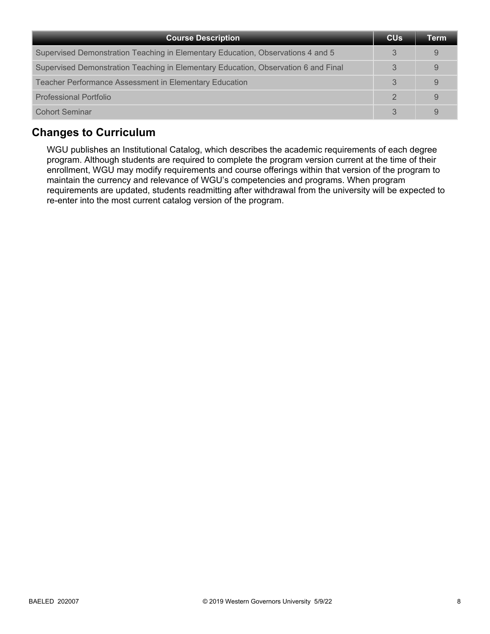| <b>Course Description</b>                                                          | <b>CU<sub>s</sub></b> | Term |
|------------------------------------------------------------------------------------|-----------------------|------|
| Supervised Demonstration Teaching in Elementary Education, Observations 4 and 5    | 3                     | 9    |
| Supervised Demonstration Teaching in Elementary Education, Observation 6 and Final | 3                     |      |
| <b>Teacher Performance Assessment in Elementary Education</b>                      | 3                     |      |
| <b>Professional Portfolio</b>                                                      | $\mathcal{P}$         | 9    |
| <b>Cohort Seminar</b>                                                              |                       |      |

# **Changes to Curriculum**

WGU publishes an Institutional Catalog, which describes the academic requirements of each degree program. Although students are required to complete the program version current at the time of their enrollment, WGU may modify requirements and course offerings within that version of the program to maintain the currency and relevance of WGU's competencies and programs. When program requirements are updated, students readmitting after withdrawal from the university will be expected to re-enter into the most current catalog version of the program.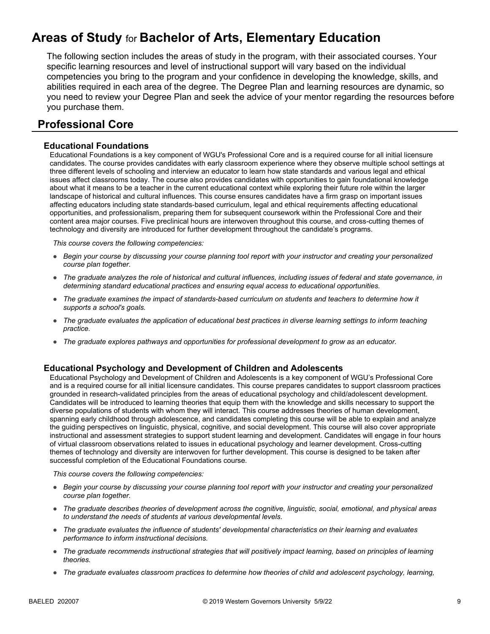# **Areas of Study** for **Bachelor of Arts, Elementary Education**

The following section includes the areas of study in the program, with their associated courses. Your specific learning resources and level of instructional support will vary based on the individual competencies you bring to the program and your confidence in developing the knowledge, skills, and abilities required in each area of the degree. The Degree Plan and learning resources are dynamic, so you need to review your Degree Plan and seek the advice of your mentor regarding the resources before you purchase them.

# **Professional Core**

### **Educational Foundations**

Educational Foundations is a key component of WGU's Professional Core and is a required course for all initial licensure candidates. The course provides candidates with early classroom experience where they observe multiple school settings at three different levels of schooling and interview an educator to learn how state standards and various legal and ethical issues affect classrooms today. The course also provides candidates with opportunities to gain foundational knowledge about what it means to be a teacher in the current educational context while exploring their future role within the larger landscape of historical and cultural influences. This course ensures candidates have a firm grasp on important issues affecting educators including state standards-based curriculum, legal and ethical requirements affecting educational opportunities, and professionalism, preparing them for subsequent coursework within the Professional Core and their content area major courses. Five preclinical hours are interwoven throughout this course, and cross-cutting themes of technology and diversity are introduced for further development throughout the candidate's programs.

*This course covers the following competencies:*

- *Begin your course by discussing your course planning tool report with your instructor and creating your personalized course plan together.*
- *The graduate analyzes the role of historical and cultural influences, including issues of federal and state governance, in determining standard educational practices and ensuring equal access to educational opportunities.*
- *The graduate examines the impact of standards-based curriculum on students and teachers to determine how it supports a school's goals.*
- *The graduate evaluates the application of educational best practices in diverse learning settings to inform teaching practice.*
- *The graduate explores pathways and opportunities for professional development to grow as an educator.*

### **Educational Psychology and Development of Children and Adolescents**

Educational Psychology and Development of Children and Adolescents is a key component of WGU's Professional Core and is a required course for all initial licensure candidates. This course prepares candidates to support classroom practices grounded in research-validated principles from the areas of educational psychology and child/adolescent development. Candidates will be introduced to learning theories that equip them with the knowledge and skills necessary to support the diverse populations of students with whom they will interact. This course addresses theories of human development, spanning early childhood through adolescence, and candidates completing this course will be able to explain and analyze the guiding perspectives on linguistic, physical, cognitive, and social development. This course will also cover appropriate instructional and assessment strategies to support student learning and development. Candidates will engage in four hours of virtual classroom observations related to issues in educational psychology and learner development. Cross-cutting themes of technology and diversity are interwoven for further development. This course is designed to be taken after successful completion of the Educational Foundations course.

- *Begin your course by discussing your course planning tool report with your instructor and creating your personalized course plan together.*
- *The graduate describes theories of development across the cognitive, linguistic, social, emotional, and physical areas to understand the needs of students at various developmental levels.*
- *The graduate evaluates the influence of students' developmental characteristics on their learning and evaluates performance to inform instructional decisions.*
- *The graduate recommends instructional strategies that will positively impact learning, based on principles of learning theories.*
- *The graduate evaluates classroom practices to determine how theories of child and adolescent psychology, learning,*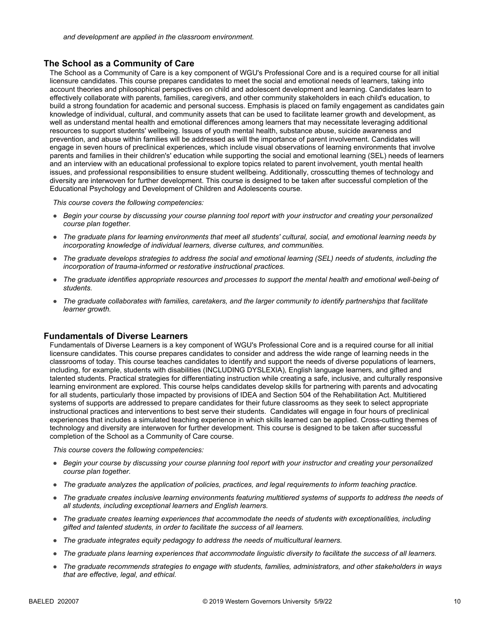### **The School as a Community of Care**

The School as a Community of Care is a key component of WGU's Professional Core and is a required course for all initial licensure candidates. This course prepares candidates to meet the social and emotional needs of learners, taking into account theories and philosophical perspectives on child and adolescent development and learning. Candidates learn to effectively collaborate with parents, families, caregivers, and other community stakeholders in each child's education, to build a strong foundation for academic and personal success. Emphasis is placed on family engagement as candidates gain knowledge of individual, cultural, and community assets that can be used to facilitate learner growth and development, as well as understand mental health and emotional differences among learners that may necessitate leveraging additional resources to support students' wellbeing. Issues of youth mental health, substance abuse, suicide awareness and prevention, and abuse within families will be addressed as will the importance of parent involvement. Candidates will engage in seven hours of preclinical experiences, which include visual observations of learning environments that involve parents and families in their children's' education while supporting the social and emotional learning (SEL) needs of learners and an interview with an educational professional to explore topics related to parent involvement, youth mental health issues, and professional responsibilities to ensure student wellbeing. Additionally, crosscutting themes of technology and diversity are interwoven for further development. This course is designed to be taken after successful completion of the Educational Psychology and Development of Children and Adolescents course.

*This course covers the following competencies:*

- *Begin your course by discussing your course planning tool report with your instructor and creating your personalized course plan together.*
- *The graduate plans for learning environments that meet all students' cultural, social, and emotional learning needs by incorporating knowledge of individual learners, diverse cultures, and communities.*
- *The graduate develops strategies to address the social and emotional learning (SEL) needs of students, including the incorporation of trauma-informed or restorative instructional practices.*
- *The graduate identifies appropriate resources and processes to support the mental health and emotional well-being of students.*
- *The graduate collaborates with families, caretakers, and the larger community to identify partnerships that facilitate learner growth.*

### **Fundamentals of Diverse Learners**

Fundamentals of Diverse Learners is a key component of WGU's Professional Core and is a required course for all initial licensure candidates. This course prepares candidates to consider and address the wide range of learning needs in the classrooms of today. This course teaches candidates to identify and support the needs of diverse populations of learners, including, for example, students with disabilities (INCLUDING DYSLEXIA), English language learners, and gifted and talented students. Practical strategies for differentiating instruction while creating a safe, inclusive, and culturally responsive learning environment are explored. This course helps candidates develop skills for partnering with parents and advocating for all students, particularly those impacted by provisions of IDEA and Section 504 of the Rehabilitation Act. Multitiered systems of supports are addressed to prepare candidates for their future classrooms as they seek to select appropriate instructional practices and interventions to best serve their students. Candidates will engage in four hours of preclinical experiences that includes a simulated teaching experience in which skills learned can be applied. Cross-cutting themes of technology and diversity are interwoven for further development. This course is designed to be taken after successful completion of the School as a Community of Care course.

- *Begin your course by discussing your course planning tool report with your instructor and creating your personalized course plan together.*
- *The graduate analyzes the application of policies, practices, and legal requirements to inform teaching practice.*
- *The graduate creates inclusive learning environments featuring multitiered systems of supports to address the needs of all students, including exceptional learners and English learners.*
- *The graduate creates learning experiences that accommodate the needs of students with exceptionalities, including gifted and talented students, in order to facilitate the success of all learners.*
- *The graduate integrates equity pedagogy to address the needs of multicultural learners.*
- *The graduate plans learning experiences that accommodate linguistic diversity to facilitate the success of all learners.*
- *The graduate recommends strategies to engage with students, families, administrators, and other stakeholders in ways that are effective, legal, and ethical.*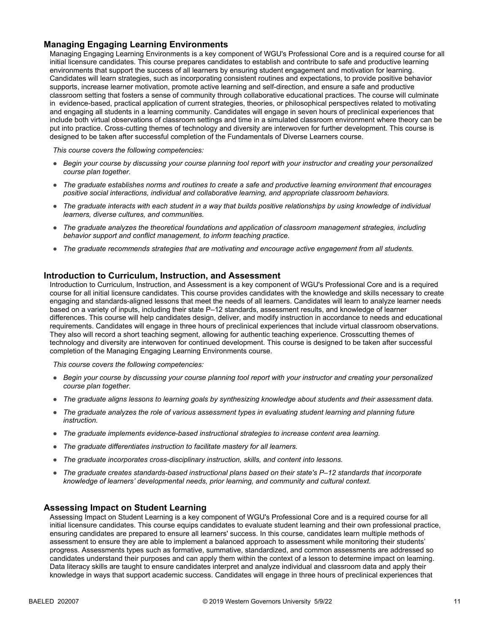## **Managing Engaging Learning Environments**

Managing Engaging Learning Environments is a key component of WGU's Professional Core and is a required course for all initial licensure candidates. This course prepares candidates to establish and contribute to safe and productive learning environments that support the success of all learners by ensuring student engagement and motivation for learning. Candidates will learn strategies, such as incorporating consistent routines and expectations, to provide positive behavior supports, increase learner motivation, promote active learning and self-direction, and ensure a safe and productive classroom setting that fosters a sense of community through collaborative educational practices. The course will culminate in evidence-based, practical application of current strategies, theories, or philosophical perspectives related to motivating and engaging all students in a learning community. Candidates will engage in seven hours of preclinical experiences that include both virtual observations of classroom settings and time in a simulated classroom environment where theory can be put into practice. Cross-cutting themes of technology and diversity are interwoven for further development. This course is designed to be taken after successful completion of the Fundamentals of Diverse Learners course.

*This course covers the following competencies:*

- *Begin your course by discussing your course planning tool report with your instructor and creating your personalized course plan together.*
- *The graduate establishes norms and routines to create a safe and productive learning environment that encourages positive social interactions, individual and collaborative learning, and appropriate classroom behaviors.*
- *The graduate interacts with each student in a way that builds positive relationships by using knowledge of individual learners, diverse cultures, and communities.*
- *The graduate analyzes the theoretical foundations and application of classroom management strategies, including behavior support and conflict management, to inform teaching practice.*
- *The graduate recommends strategies that are motivating and encourage active engagement from all students.*

#### **Introduction to Curriculum, Instruction, and Assessment**

Introduction to Curriculum, Instruction, and Assessment is a key component of WGU's Professional Core and is a required course for all initial licensure candidates. This course provides candidates with the knowledge and skills necessary to create engaging and standards-aligned lessons that meet the needs of all learners. Candidates will learn to analyze learner needs based on a variety of inputs, including their state P–12 standards, assessment results, and knowledge of learner differences. This course will help candidates design, deliver, and modify instruction in accordance to needs and educational requirements. Candidates will engage in three hours of preclinical experiences that include virtual classroom observations. They also will record a short teaching segment, allowing for authentic teaching experience. Crosscutting themes of technology and diversity are interwoven for continued development. This course is designed to be taken after successful completion of the Managing Engaging Learning Environments course.

*This course covers the following competencies:*

- *Begin your course by discussing your course planning tool report with your instructor and creating your personalized course plan together.*
- *The graduate aligns lessons to learning goals by synthesizing knowledge about students and their assessment data.*
- *The graduate analyzes the role of various assessment types in evaluating student learning and planning future instruction.*
- *The graduate implements evidence-based instructional strategies to increase content area learning.*
- *The graduate differentiates instruction to facilitate mastery for all learners.*
- *The graduate incorporates cross-disciplinary instruction, skills, and content into lessons.*
- *The graduate creates standards-based instructional plans based on their state's P–12 standards that incorporate knowledge of learners' developmental needs, prior learning, and community and cultural context.*

### **Assessing Impact on Student Learning**

Assessing Impact on Student Learning is a key component of WGU's Professional Core and is a required course for all initial licensure candidates. This course equips candidates to evaluate student learning and their own professional practice, ensuring candidates are prepared to ensure all learners' success. In this course, candidates learn multiple methods of assessment to ensure they are able to implement a balanced approach to assessment while monitoring their students' progress. Assessments types such as formative, summative, standardized, and common assessments are addressed so candidates understand their purposes and can apply them within the context of a lesson to determine impact on learning. Data literacy skills are taught to ensure candidates interpret and analyze individual and classroom data and apply their knowledge in ways that support academic success. Candidates will engage in three hours of preclinical experiences that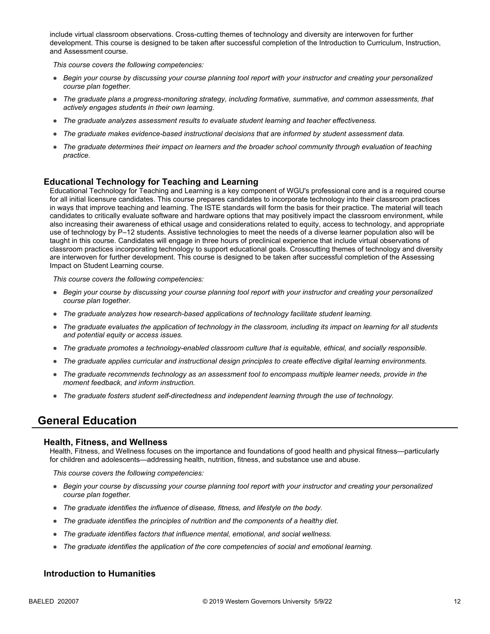include virtual classroom observations. Cross-cutting themes of technology and diversity are interwoven for further development. This course is designed to be taken after successful completion of the Introduction to Curriculum, Instruction, and Assessment course.

*This course covers the following competencies:*

- *Begin your course by discussing your course planning tool report with your instructor and creating your personalized course plan together.*
- *The graduate plans a progress-monitoring strategy, including formative, summative, and common assessments, that actively engages students in their own learning.*
- *The graduate analyzes assessment results to evaluate student learning and teacher effectiveness.*
- *The graduate makes evidence-based instructional decisions that are informed by student assessment data.*
- *The graduate determines their impact on learners and the broader school community through evaluation of teaching practice.*

### **Educational Technology for Teaching and Learning**

Educational Technology for Teaching and Learning is a key component of WGU's professional core and is a required course for all initial licensure candidates. This course prepares candidates to incorporate technology into their classroom practices in ways that improve teaching and learning. The ISTE standards will form the basis for their practice. The material will teach candidates to critically evaluate software and hardware options that may positively impact the classroom environment, while also increasing their awareness of ethical usage and considerations related to equity, access to technology, and appropriate use of technology by P–12 students. Assistive technologies to meet the needs of a diverse learner population also will be taught in this course. Candidates will engage in three hours of preclinical experience that include virtual observations of classroom practices incorporating technology to support educational goals. Crosscutting themes of technology and diversity are interwoven for further development. This course is designed to be taken after successful completion of the Assessing Impact on Student Learning course.

*This course covers the following competencies:*

- *Begin your course by discussing your course planning tool report with your instructor and creating your personalized course plan together.*
- *The graduate analyzes how research-based applications of technology facilitate student learning.*
- *The graduate evaluates the application of technology in the classroom, including its impact on learning for all students and potential equity or access issues.*
- *The graduate promotes a technology-enabled classroom culture that is equitable, ethical, and socially responsible.*
- *The graduate applies curricular and instructional design principles to create effective digital learning environments.*
- *The graduate recommends technology as an assessment tool to encompass multiple learner needs, provide in the moment feedback, and inform instruction.*
- *The graduate fosters student self-directedness and independent learning through the use of technology.*

# **General Education**

#### **Health, Fitness, and Wellness**

Health, Fitness, and Wellness focuses on the importance and foundations of good health and physical fitness—particularly for children and adolescents—addressing health, nutrition, fitness, and substance use and abuse.

*This course covers the following competencies:*

- *Begin your course by discussing your course planning tool report with your instructor and creating your personalized course plan together.*
- *The graduate identifies the influence of disease, fitness, and lifestyle on the body.*
- *The graduate identifies the principles of nutrition and the components of a healthy diet.*
- *The graduate identifies factors that influence mental, emotional, and social wellness.*
- *The graduate identifies the application of the core competencies of social and emotional learning.*

### **Introduction to Humanities**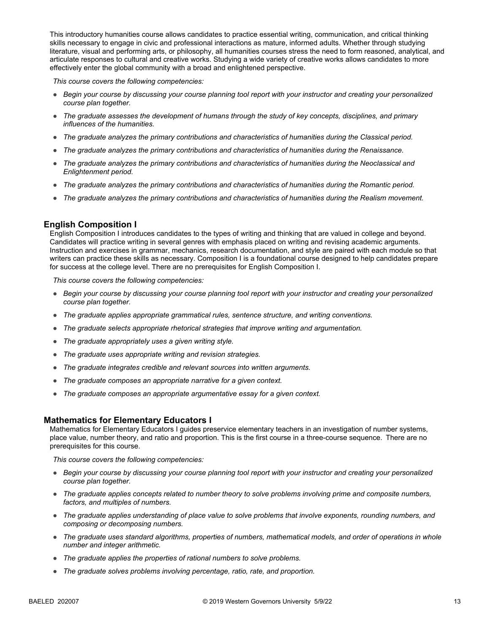This introductory humanities course allows candidates to practice essential writing, communication, and critical thinking skills necessary to engage in civic and professional interactions as mature, informed adults. Whether through studying literature, visual and performing arts, or philosophy, all humanities courses stress the need to form reasoned, analytical, and articulate responses to cultural and creative works. Studying a wide variety of creative works allows candidates to more effectively enter the global community with a broad and enlightened perspective.

*This course covers the following competencies:*

- *Begin your course by discussing your course planning tool report with your instructor and creating your personalized course plan together.*
- *The graduate assesses the development of humans through the study of key concepts, disciplines, and primary influences of the humanities.*
- *The graduate analyzes the primary contributions and characteristics of humanities during the Classical period.*
- *The graduate analyzes the primary contributions and characteristics of humanities during the Renaissance.*
- *The graduate analyzes the primary contributions and characteristics of humanities during the Neoclassical and Enlightenment period.*
- *The graduate analyzes the primary contributions and characteristics of humanities during the Romantic period.*
- *The graduate analyzes the primary contributions and characteristics of humanities during the Realism movement.*

### **English Composition I**

English Composition I introduces candidates to the types of writing and thinking that are valued in college and beyond. Candidates will practice writing in several genres with emphasis placed on writing and revising academic arguments. Instruction and exercises in grammar, mechanics, research documentation, and style are paired with each module so that writers can practice these skills as necessary. Composition I is a foundational course designed to help candidates prepare for success at the college level. There are no prerequisites for English Composition I.

*This course covers the following competencies:*

- *Begin your course by discussing your course planning tool report with your instructor and creating your personalized course plan together.*
- *The graduate applies appropriate grammatical rules, sentence structure, and writing conventions.*
- *The graduate selects appropriate rhetorical strategies that improve writing and argumentation.*
- *The graduate appropriately uses a given writing style.*
- *The graduate uses appropriate writing and revision strategies.*
- *The graduate integrates credible and relevant sources into written arguments.*
- *The graduate composes an appropriate narrative for a given context.*
- *The graduate composes an appropriate argumentative essay for a given context.*

#### **Mathematics for Elementary Educators I**

Mathematics for Elementary Educators I guides preservice elementary teachers in an investigation of number systems, place value, number theory, and ratio and proportion. This is the first course in a three-course sequence. There are no prerequisites for this course.

- *Begin your course by discussing your course planning tool report with your instructor and creating your personalized course plan together.*
- *The graduate applies concepts related to number theory to solve problems involving prime and composite numbers, factors, and multiples of numbers.*
- *The graduate applies understanding of place value to solve problems that involve exponents, rounding numbers, and composing or decomposing numbers.*
- *The graduate uses standard algorithms, properties of numbers, mathematical models, and order of operations in whole number and integer arithmetic.*
- *The graduate applies the properties of rational numbers to solve problems.*
- *The graduate solves problems involving percentage, ratio, rate, and proportion.*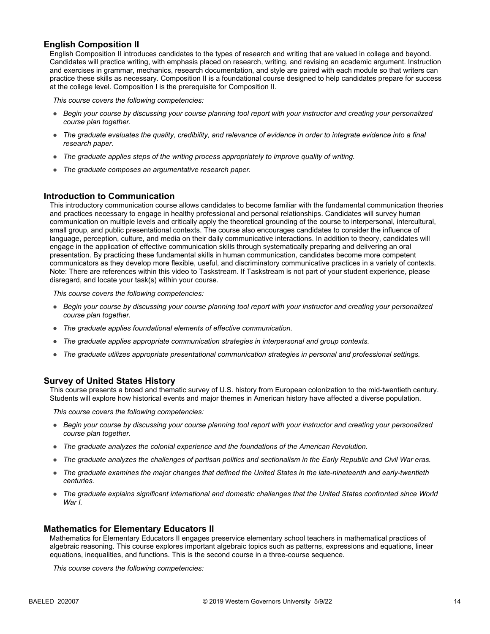## **English Composition II**

English Composition II introduces candidates to the types of research and writing that are valued in college and beyond. Candidates will practice writing, with emphasis placed on research, writing, and revising an academic argument. Instruction and exercises in grammar, mechanics, research documentation, and style are paired with each module so that writers can practice these skills as necessary. Composition II is a foundational course designed to help candidates prepare for success at the college level. Composition I is the prerequisite for Composition II.

*This course covers the following competencies:*

- *Begin your course by discussing your course planning tool report with your instructor and creating your personalized course plan together.*
- *The graduate evaluates the quality, credibility, and relevance of evidence in order to integrate evidence into a final research paper.*
- *The graduate applies steps of the writing process appropriately to improve quality of writing.*
- *The graduate composes an argumentative research paper.*

#### **Introduction to Communication**

This introductory communication course allows candidates to become familiar with the fundamental communication theories and practices necessary to engage in healthy professional and personal relationships. Candidates will survey human communication on multiple levels and critically apply the theoretical grounding of the course to interpersonal, intercultural, small group, and public presentational contexts. The course also encourages candidates to consider the influence of language, perception, culture, and media on their daily communicative interactions. In addition to theory, candidates will engage in the application of effective communication skills through systematically preparing and delivering an oral presentation. By practicing these fundamental skills in human communication, candidates become more competent communicators as they develop more flexible, useful, and discriminatory communicative practices in a variety of contexts. Note: There are references within this video to Taskstream. If Taskstream is not part of your student experience, please disregard, and locate your task(s) within your course.

*This course covers the following competencies:*

- *Begin your course by discussing your course planning tool report with your instructor and creating your personalized course plan together.*
- *The graduate applies foundational elements of effective communication.*
- *The graduate applies appropriate communication strategies in interpersonal and group contexts.*
- *The graduate utilizes appropriate presentational communication strategies in personal and professional settings.*

#### **Survey of United States History**

This course presents a broad and thematic survey of U.S. history from European colonization to the mid-twentieth century. Students will explore how historical events and major themes in American history have affected a diverse population.

*This course covers the following competencies:*

- *Begin your course by discussing your course planning tool report with your instructor and creating your personalized course plan together.*
- *The graduate analyzes the colonial experience and the foundations of the American Revolution.*
- *The graduate analyzes the challenges of partisan politics and sectionalism in the Early Republic and Civil War eras.*
- *The graduate examines the major changes that defined the United States in the late-nineteenth and early-twentieth centuries.*
- *The graduate explains significant international and domestic challenges that the United States confronted since World War I.*

#### **Mathematics for Elementary Educators II**

Mathematics for Elementary Educators II engages preservice elementary school teachers in mathematical practices of algebraic reasoning. This course explores important algebraic topics such as patterns, expressions and equations, linear equations, inequalities, and functions. This is the second course in a three-course sequence.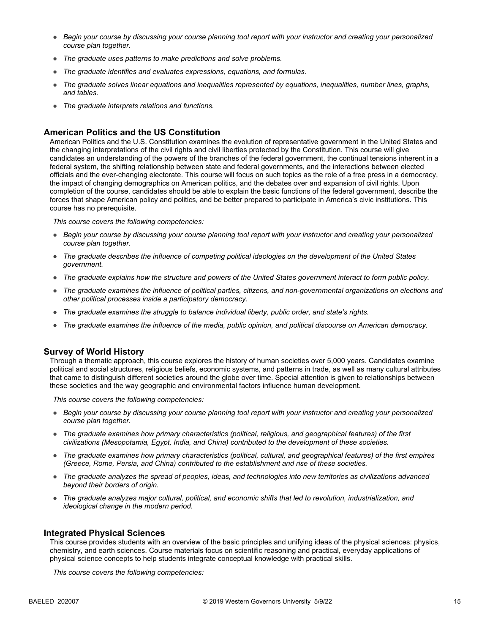- *Begin your course by discussing your course planning tool report with your instructor and creating your personalized course plan together.*
- *The graduate uses patterns to make predictions and solve problems.*
- *The graduate identifies and evaluates expressions, equations, and formulas.*
- *The graduate solves linear equations and inequalities represented by equations, inequalities, number lines, graphs, and tables.*
- *The graduate interprets relations and functions.*

### **American Politics and the US Constitution**

American Politics and the U.S. Constitution examines the evolution of representative government in the United States and the changing interpretations of the civil rights and civil liberties protected by the Constitution. This course will give candidates an understanding of the powers of the branches of the federal government, the continual tensions inherent in a federal system, the shifting relationship between state and federal governments, and the interactions between elected officials and the ever-changing electorate. This course will focus on such topics as the role of a free press in a democracy, the impact of changing demographics on American politics, and the debates over and expansion of civil rights. Upon completion of the course, candidates should be able to explain the basic functions of the federal government, describe the forces that shape American policy and politics, and be better prepared to participate in America's civic institutions. This course has no prerequisite.

*This course covers the following competencies:*

- *Begin your course by discussing your course planning tool report with your instructor and creating your personalized course plan together.*
- *The graduate describes the influence of competing political ideologies on the development of the United States government.*
- *The graduate explains how the structure and powers of the United States government interact to form public policy.*
- *The graduate examines the influence of political parties, citizens, and non-governmental organizations on elections and other political processes inside a participatory democracy.*
- *The graduate examines the struggle to balance individual liberty, public order, and state's rights.*
- *The graduate examines the influence of the media, public opinion, and political discourse on American democracy.*

#### **Survey of World History**

Through a thematic approach, this course explores the history of human societies over 5,000 years. Candidates examine political and social structures, religious beliefs, economic systems, and patterns in trade, as well as many cultural attributes that came to distinguish different societies around the globe over time. Special attention is given to relationships between these societies and the way geographic and environmental factors influence human development.

*This course covers the following competencies:*

- *Begin your course by discussing your course planning tool report with your instructor and creating your personalized course plan together.*
- *The graduate examines how primary characteristics (political, religious, and geographical features) of the first civilizations (Mesopotamia, Egypt, India, and China) contributed to the development of these societies.*
- *The graduate examines how primary characteristics (political, cultural, and geographical features) of the first empires (Greece, Rome, Persia, and China) contributed to the establishment and rise of these societies.*
- *The graduate analyzes the spread of peoples, ideas, and technologies into new territories as civilizations advanced beyond their borders of origin.*
- *The graduate analyzes major cultural, political, and economic shifts that led to revolution, industrialization, and ideological change in the modern period.*

#### **Integrated Physical Sciences**

This course provides students with an overview of the basic principles and unifying ideas of the physical sciences: physics, chemistry, and earth sciences. Course materials focus on scientific reasoning and practical, everyday applications of physical science concepts to help students integrate conceptual knowledge with practical skills.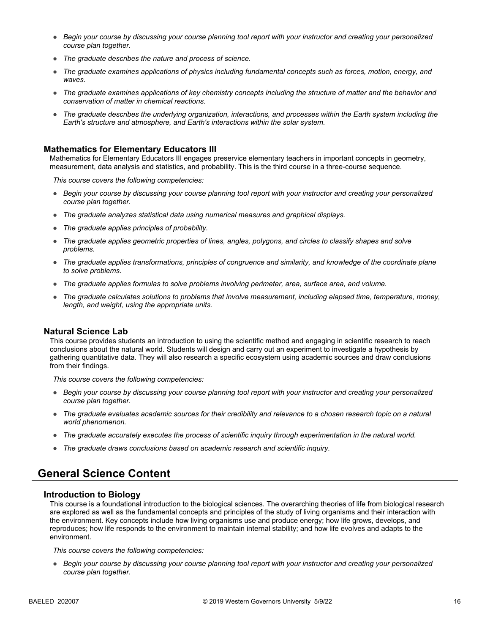- *Begin your course by discussing your course planning tool report with your instructor and creating your personalized course plan together.*
- *The graduate describes the nature and process of science.*
- *The graduate examines applications of physics including fundamental concepts such as forces, motion, energy, and waves.*
- *The graduate examines applications of key chemistry concepts including the structure of matter and the behavior and conservation of matter in chemical reactions.*
- *The graduate describes the underlying organization, interactions, and processes within the Earth system including the Earth's structure and atmosphere, and Earth's interactions within the solar system.*

#### **Mathematics for Elementary Educators III**

Mathematics for Elementary Educators III engages preservice elementary teachers in important concepts in geometry, measurement, data analysis and statistics, and probability. This is the third course in a three-course sequence.

*This course covers the following competencies:*

- *Begin your course by discussing your course planning tool report with your instructor and creating your personalized course plan together.*
- *The graduate analyzes statistical data using numerical measures and graphical displays.*
- *The graduate applies principles of probability.*
- *The graduate applies geometric properties of lines, angles, polygons, and circles to classify shapes and solve problems.*
- *The graduate applies transformations, principles of congruence and similarity, and knowledge of the coordinate plane to solve problems.*
- *The graduate applies formulas to solve problems involving perimeter, area, surface area, and volume.*
- *The graduate calculates solutions to problems that involve measurement, including elapsed time, temperature, money, length, and weight, using the appropriate units.*

#### **Natural Science Lab**

This course provides students an introduction to using the scientific method and engaging in scientific research to reach conclusions about the natural world. Students will design and carry out an experiment to investigate a hypothesis by gathering quantitative data. They will also research a specific ecosystem using academic sources and draw conclusions from their findings.

*This course covers the following competencies:*

- *Begin your course by discussing your course planning tool report with your instructor and creating your personalized course plan together.*
- The graduate evaluates academic sources for their credibility and relevance to a chosen research topic on a natural *world phenomenon.*
- *The graduate accurately executes the process of scientific inquiry through experimentation in the natural world.*
- *The graduate draws conclusions based on academic research and scientific inquiry.*

# **General Science Content**

#### **Introduction to Biology**

This course is a foundational introduction to the biological sciences. The overarching theories of life from biological research are explored as well as the fundamental concepts and principles of the study of living organisms and their interaction with the environment. Key concepts include how living organisms use and produce energy; how life grows, develops, and reproduces; how life responds to the environment to maintain internal stability; and how life evolves and adapts to the environment.

*This course covers the following competencies:*

● *Begin your course by discussing your course planning tool report with your instructor and creating your personalized course plan together.*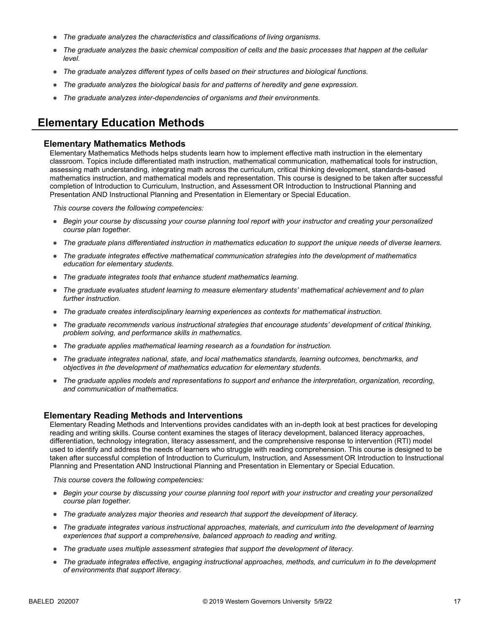- *The graduate analyzes the characteristics and classifications of living organisms.*
- *The graduate analyzes the basic chemical composition of cells and the basic processes that happen at the cellular level.*
- *The graduate analyzes different types of cells based on their structures and biological functions.*
- *The graduate analyzes the biological basis for and patterns of heredity and gene expression.*
- *The graduate analyzes inter-dependencies of organisms and their environments.*

# **Elementary Education Methods**

#### **Elementary Mathematics Methods**

Elementary Mathematics Methods helps students learn how to implement effective math instruction in the elementary classroom. Topics include differentiated math instruction, mathematical communication, mathematical tools for instruction, assessing math understanding, integrating math across the curriculum, critical thinking development, standards-based mathematics instruction, and mathematical models and representation. This course is designed to be taken after successful completion of Introduction to Curriculum, Instruction, and Assessment OR Introduction to Instructional Planning and Presentation AND Instructional Planning and Presentation in Elementary or Special Education.

*This course covers the following competencies:*

- *Begin your course by discussing your course planning tool report with your instructor and creating your personalized course plan together.*
- *The graduate plans differentiated instruction in mathematics education to support the unique needs of diverse learners.*
- *The graduate integrates effective mathematical communication strategies into the development of mathematics education for elementary students.*
- *The graduate integrates tools that enhance student mathematics learning.*
- *The graduate evaluates student learning to measure elementary students' mathematical achievement and to plan further instruction.*
- *The graduate creates interdisciplinary learning experiences as contexts for mathematical instruction.*
- *The graduate recommends various instructional strategies that encourage students' development of critical thinking, problem solving, and performance skills in mathematics.*
- *The graduate applies mathematical learning research as a foundation for instruction.*
- *The graduate integrates national, state, and local mathematics standards, learning outcomes, benchmarks, and objectives in the development of mathematics education for elementary students.*
- *The graduate applies models and representations to support and enhance the interpretation, organization, recording, and communication of mathematics.*

### **Elementary Reading Methods and Interventions**

Elementary Reading Methods and Interventions provides candidates with an in-depth look at best practices for developing reading and writing skills. Course content examines the stages of literacy development, balanced literacy approaches, differentiation, technology integration, literacy assessment, and the comprehensive response to intervention (RTI) model used to identify and address the needs of learners who struggle with reading comprehension. This course is designed to be taken after successful completion of Introduction to Curriculum, Instruction, and Assessment OR Introduction to Instructional Planning and Presentation AND Instructional Planning and Presentation in Elementary or Special Education.

- *Begin your course by discussing your course planning tool report with your instructor and creating your personalized course plan together.*
- *The graduate analyzes major theories and research that support the development of literacy.*
- *The graduate integrates various instructional approaches, materials, and curriculum into the development of learning experiences that support a comprehensive, balanced approach to reading and writing.*
- *The graduate uses multiple assessment strategies that support the development of literacy.*
- *The graduate integrates effective, engaging instructional approaches, methods, and curriculum in to the development of environments that support literacy.*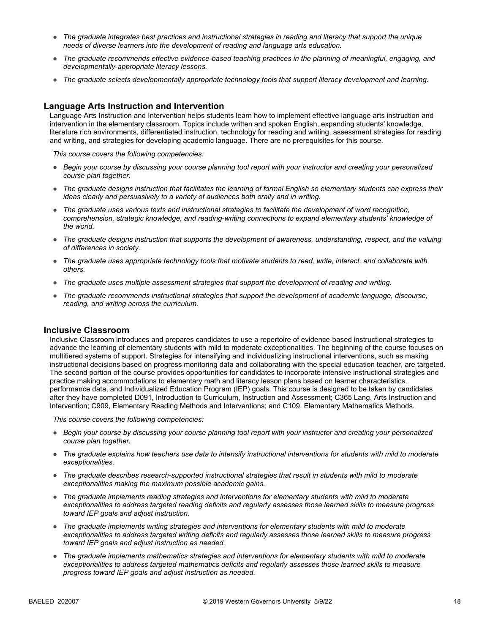- *The graduate integrates best practices and instructional strategies in reading and literacy that support the unique needs of diverse learners into the development of reading and language arts education.*
- *The graduate recommends effective evidence-based teaching practices in the planning of meaningful, engaging, and developmentally-appropriate literacy lessons.*
- *The graduate selects developmentally appropriate technology tools that support literacy development and learning.*

### **Language Arts Instruction and Intervention**

Language Arts Instruction and Intervention helps students learn how to implement effective language arts instruction and intervention in the elementary classroom. Topics include written and spoken English, expanding students' knowledge, literature rich environments, differentiated instruction, technology for reading and writing, assessment strategies for reading and writing, and strategies for developing academic language. There are no prerequisites for this course.

*This course covers the following competencies:*

- *Begin your course by discussing your course planning tool report with your instructor and creating your personalized course plan together.*
- *The graduate designs instruction that facilitates the learning of formal English so elementary students can express their ideas clearly and persuasively to a variety of audiences both orally and in writing.*
- *The graduate uses various texts and instructional strategies to facilitate the development of word recognition, comprehension, strategic knowledge, and reading-writing connections to expand elementary students' knowledge of the world.*
- *The graduate designs instruction that supports the development of awareness, understanding, respect, and the valuing of differences in society.*
- *The graduate uses appropriate technology tools that motivate students to read, write, interact, and collaborate with others.*
- *The graduate uses multiple assessment strategies that support the development of reading and writing.*
- *The graduate recommends instructional strategies that support the development of academic language, discourse, reading, and writing across the curriculum.*

### **Inclusive Classroom**

Inclusive Classroom introduces and prepares candidates to use a repertoire of evidence-based instructional strategies to advance the learning of elementary students with mild to moderate exceptionalities. The beginning of the course focuses on multitiered systems of support. Strategies for intensifying and individualizing instructional interventions, such as making instructional decisions based on progress monitoring data and collaborating with the special education teacher, are targeted. The second portion of the course provides opportunities for candidates to incorporate intensive instructional strategies and practice making accommodations to elementary math and literacy lesson plans based on learner characteristics, performance data, and Individualized Education Program (IEP) goals. This course is designed to be taken by candidates after they have completed D091, Introduction to Curriculum, Instruction and Assessment; C365 Lang. Arts Instruction and Intervention; C909, Elementary Reading Methods and Interventions; and C109, Elementary Mathematics Methods.

- *Begin your course by discussing your course planning tool report with your instructor and creating your personalized course plan together.*
- *The graduate explains how teachers use data to intensify instructional interventions for students with mild to moderate exceptionalities.*
- *The graduate describes research-supported instructional strategies that result in students with mild to moderate exceptionalities making the maximum possible academic gains.*
- *The graduate implements reading strategies and interventions for elementary students with mild to moderate exceptionalities to address targeted reading deficits and regularly assesses those learned skills to measure progress toward IEP goals and adjust instruction.*
- *The graduate implements writing strategies and interventions for elementary students with mild to moderate exceptionalities to address targeted writing deficits and regularly assesses those learned skills to measure progress toward IEP goals and adjust instruction as needed.*
- *The graduate implements mathematics strategies and interventions for elementary students with mild to moderate*  exceptionalities to address targeted mathematics deficits and regularly assesses those learned skills to measure *progress toward IEP goals and adjust instruction as needed.*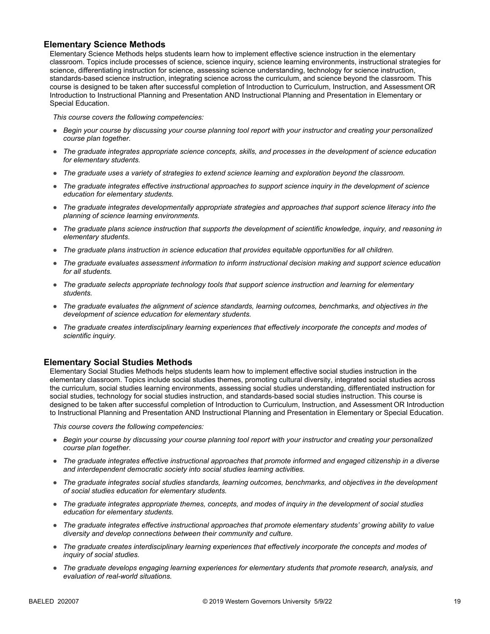## **Elementary Science Methods**

Elementary Science Methods helps students learn how to implement effective science instruction in the elementary classroom. Topics include processes of science, science inquiry, science learning environments, instructional strategies for science, differentiating instruction for science, assessing science understanding, technology for science instruction, standards-based science instruction, integrating science across the curriculum, and science beyond the classroom. This course is designed to be taken after successful completion of Introduction to Curriculum, Instruction, and Assessment OR Introduction to Instructional Planning and Presentation AND Instructional Planning and Presentation in Elementary or Special Education.

*This course covers the following competencies:*

- *Begin your course by discussing your course planning tool report with your instructor and creating your personalized course plan together.*
- *The graduate integrates appropriate science concepts, skills, and processes in the development of science education for elementary students.*
- *The graduate uses a variety of strategies to extend science learning and exploration beyond the classroom.*
- *The graduate integrates effective instructional approaches to support science inquiry in the development of science education for elementary students.*
- *The graduate integrates developmentally appropriate strategies and approaches that support science literacy into the planning of science learning environments.*
- *The graduate plans science instruction that supports the development of scientific knowledge, inquiry, and reasoning in elementary students.*
- *The graduate plans instruction in science education that provides equitable opportunities for all children.*
- *The graduate evaluates assessment information to inform instructional decision making and support science education for all students.*
- *The graduate selects appropriate technology tools that support science instruction and learning for elementary students.*
- *The graduate evaluates the alignment of science standards, learning outcomes, benchmarks, and objectives in the development of science education for elementary students.*
- *The graduate creates interdisciplinary learning experiences that effectively incorporate the concepts and modes of scientific inquiry.*

### **Elementary Social Studies Methods**

Elementary Social Studies Methods helps students learn how to implement effective social studies instruction in the elementary classroom. Topics include social studies themes, promoting cultural diversity, integrated social studies across the curriculum, social studies learning environments, assessing social studies understanding, differentiated instruction for social studies, technology for social studies instruction, and standards-based social studies instruction. This course is designed to be taken after successful completion of Introduction to Curriculum, Instruction, and Assessment OR Introduction to Instructional Planning and Presentation AND Instructional Planning and Presentation in Elementary or Special Education.

- *Begin your course by discussing your course planning tool report with your instructor and creating your personalized course plan together.*
- *The graduate integrates effective instructional approaches that promote informed and engaged citizenship in a diverse and interdependent democratic society into social studies learning activities.*
- *The graduate integrates social studies standards, learning outcomes, benchmarks, and objectives in the development of social studies education for elementary students.*
- *The graduate integrates appropriate themes, concepts, and modes of inquiry in the development of social studies education for elementary students.*
- *The graduate integrates effective instructional approaches that promote elementary students' growing ability to value diversity and develop connections between their community and culture.*
- *The graduate creates interdisciplinary learning experiences that effectively incorporate the concepts and modes of inquiry of social studies.*
- *The graduate develops engaging learning experiences for elementary students that promote research, analysis, and evaluation of real-world situations.*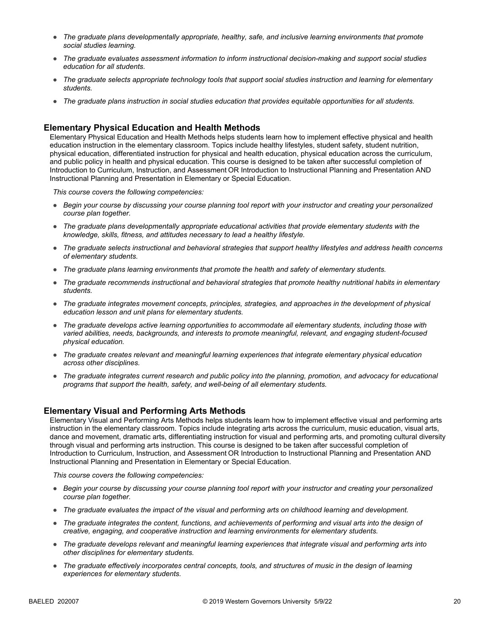- *The graduate plans developmentally appropriate, healthy, safe, and inclusive learning environments that promote social studies learning.*
- *The graduate evaluates assessment information to inform instructional decision-making and support social studies education for all students.*
- *The graduate selects appropriate technology tools that support social studies instruction and learning for elementary students.*
- *The graduate plans instruction in social studies education that provides equitable opportunities for all students.*

## **Elementary Physical Education and Health Methods**

Elementary Physical Education and Health Methods helps students learn how to implement effective physical and health education instruction in the elementary classroom. Topics include healthy lifestyles, student safety, student nutrition, physical education, differentiated instruction for physical and health education, physical education across the curriculum, and public policy in health and physical education. This course is designed to be taken after successful completion of Introduction to Curriculum, Instruction, and Assessment OR Introduction to Instructional Planning and Presentation AND Instructional Planning and Presentation in Elementary or Special Education.

*This course covers the following competencies:*

- *Begin your course by discussing your course planning tool report with your instructor and creating your personalized course plan together.*
- *The graduate plans developmentally appropriate educational activities that provide elementary students with the knowledge, skills, fitness, and attitudes necessary to lead a healthy lifestyle.*
- *The graduate selects instructional and behavioral strategies that support healthy lifestyles and address health concerns of elementary students.*
- *The graduate plans learning environments that promote the health and safety of elementary students.*
- *The graduate recommends instructional and behavioral strategies that promote healthy nutritional habits in elementary students.*
- *The graduate integrates movement concepts, principles, strategies, and approaches in the development of physical education lesson and unit plans for elementary students.*
- *The graduate develops active learning opportunities to accommodate all elementary students, including those with varied abilities, needs, backgrounds, and interests to promote meaningful, relevant, and engaging student-focused physical education.*
- *The graduate creates relevant and meaningful learning experiences that integrate elementary physical education across other disciplines.*
- *The graduate integrates current research and public policy into the planning, promotion, and advocacy for educational programs that support the health, safety, and well-being of all elementary students.*

### **Elementary Visual and Performing Arts Methods**

Elementary Visual and Performing Arts Methods helps students learn how to implement effective visual and performing arts instruction in the elementary classroom. Topics include integrating arts across the curriculum, music education, visual arts, dance and movement, dramatic arts, differentiating instruction for visual and performing arts, and promoting cultural diversity through visual and performing arts instruction. This course is designed to be taken after successful completion of Introduction to Curriculum, Instruction, and Assessment OR Introduction to Instructional Planning and Presentation AND Instructional Planning and Presentation in Elementary or Special Education.

- *Begin your course by discussing your course planning tool report with your instructor and creating your personalized course plan together.*
- *The graduate evaluates the impact of the visual and performing arts on childhood learning and development.*
- *The graduate integrates the content, functions, and achievements of performing and visual arts into the design of creative, engaging, and cooperative instruction and learning environments for elementary students.*
- *The graduate develops relevant and meaningful learning experiences that integrate visual and performing arts into other disciplines for elementary students.*
- *The graduate effectively incorporates central concepts, tools, and structures of music in the design of learning experiences for elementary students.*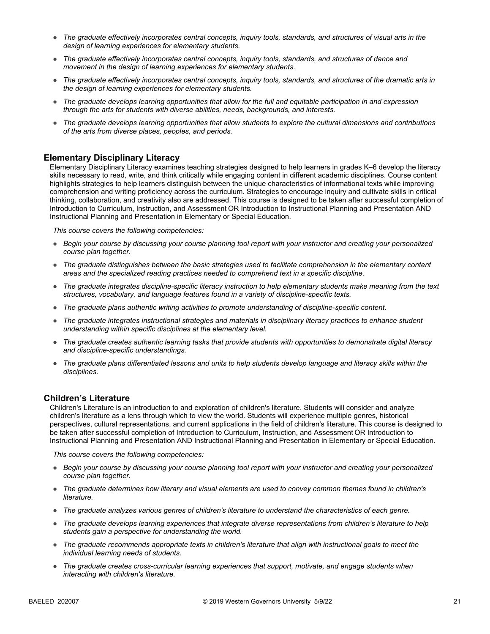- *The graduate effectively incorporates central concepts, inquiry tools, standards, and structures of visual arts in the design of learning experiences for elementary students.*
- *The graduate effectively incorporates central concepts, inquiry tools, standards, and structures of dance and movement in the design of learning experiences for elementary students.*
- *The graduate effectively incorporates central concepts, inquiry tools, standards, and structures of the dramatic arts in the design of learning experiences for elementary students.*
- *The graduate develops learning opportunities that allow for the full and equitable participation in and expression through the arts for students with diverse abilities, needs, backgrounds, and interests.*
- *The graduate develops learning opportunities that allow students to explore the cultural dimensions and contributions of the arts from diverse places, peoples, and periods.*

### **Elementary Disciplinary Literacy**

Elementary Disciplinary Literacy examines teaching strategies designed to help learners in grades K–6 develop the literacy skills necessary to read, write, and think critically while engaging content in different academic disciplines. Course content highlights strategies to help learners distinguish between the unique characteristics of informational texts while improving comprehension and writing proficiency across the curriculum. Strategies to encourage inquiry and cultivate skills in critical thinking, collaboration, and creativity also are addressed. This course is designed to be taken after successful completion of Introduction to Curriculum, Instruction, and Assessment OR Introduction to Instructional Planning and Presentation AND Instructional Planning and Presentation in Elementary or Special Education.

*This course covers the following competencies:*

- *Begin your course by discussing your course planning tool report with your instructor and creating your personalized course plan together.*
- *The graduate distinguishes between the basic strategies used to facilitate comprehension in the elementary content areas and the specialized reading practices needed to comprehend text in a specific discipline.*
- *The graduate integrates discipline-specific literacy instruction to help elementary students make meaning from the text structures, vocabulary, and language features found in a variety of discipline-specific texts.*
- *The graduate plans authentic writing activities to promote understanding of discipline-specific content.*
- The graduate integrates instructional strategies and materials in disciplinary literacy practices to enhance student *understanding within specific disciplines at the elementary level.*
- *The graduate creates authentic learning tasks that provide students with opportunities to demonstrate digital literacy and discipline-specific understandings.*
- *The graduate plans differentiated lessons and units to help students develop language and literacy skills within the disciplines.*

### **Children's Literature**

Children's Literature is an introduction to and exploration of children's literature. Students will consider and analyze children's literature as a lens through which to view the world. Students will experience multiple genres, historical perspectives, cultural representations, and current applications in the field of children's literature. This course is designed to be taken after successful completion of Introduction to Curriculum, Instruction, and Assessment OR Introduction to Instructional Planning and Presentation AND Instructional Planning and Presentation in Elementary or Special Education.

- *Begin your course by discussing your course planning tool report with your instructor and creating your personalized course plan together.*
- *The graduate determines how literary and visual elements are used to convey common themes found in children's literature.*
- *The graduate analyzes various genres of children's literature to understand the characteristics of each genre.*
- *The graduate develops learning experiences that integrate diverse representations from children's literature to help students gain a perspective for understanding the world.*
- *The graduate recommends appropriate texts in children's literature that align with instructional goals to meet the individual learning needs of students.*
- *The graduate creates cross-curricular learning experiences that support, motivate, and engage students when interacting with children's literature.*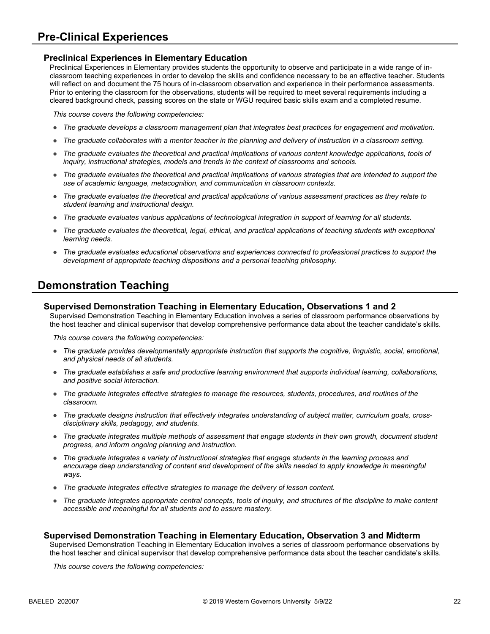# **Pre-Clinical Experiences**

## **Preclinical Experiences in Elementary Education**

Preclinical Experiences in Elementary provides students the opportunity to observe and participate in a wide range of inclassroom teaching experiences in order to develop the skills and confidence necessary to be an effective teacher. Students will reflect on and document the 75 hours of in-classroom observation and experience in their performance assessments. Prior to entering the classroom for the observations, students will be required to meet several requirements including a cleared background check, passing scores on the state or WGU required basic skills exam and a completed resume.

*This course covers the following competencies:*

- *The graduate develops a classroom management plan that integrates best practices for engagement and motivation.*
- *The graduate collaborates with a mentor teacher in the planning and delivery of instruction in a classroom setting.*
- *The graduate evaluates the theoretical and practical implications of various content knowledge applications, tools of inquiry, instructional strategies, models and trends in the context of classrooms and schools.*
- *The graduate evaluates the theoretical and practical implications of various strategies that are intended to support the use of academic language, metacognition, and communication in classroom contexts.*
- *The graduate evaluates the theoretical and practical applications of various assessment practices as they relate to student learning and instructional design.*
- *The graduate evaluates various applications of technological integration in support of learning for all students.*
- The graduate evaluates the theoretical, legal, ethical, and practical applications of teaching students with exceptional *learning needs.*
- *The graduate evaluates educational observations and experiences connected to professional practices to support the development of appropriate teaching dispositions and a personal teaching philosophy.*

# **Demonstration Teaching**

#### **Supervised Demonstration Teaching in Elementary Education, Observations 1 and 2**

Supervised Demonstration Teaching in Elementary Education involves a series of classroom performance observations by the host teacher and clinical supervisor that develop comprehensive performance data about the teacher candidate's skills.

*This course covers the following competencies:*

- *The graduate provides developmentally appropriate instruction that supports the cognitive, linguistic, social, emotional, and physical needs of all students.*
- *The graduate establishes a safe and productive learning environment that supports individual learning, collaborations, and positive social interaction.*
- *The graduate integrates effective strategies to manage the resources, students, procedures, and routines of the classroom.*
- *The graduate designs instruction that effectively integrates understanding of subject matter, curriculum goals, crossdisciplinary skills, pedagogy, and students.*
- *The graduate integrates multiple methods of assessment that engage students in their own growth, document student progress, and inform ongoing planning and instruction.*
- *The graduate integrates a variety of instructional strategies that engage students in the learning process and encourage deep understanding of content and development of the skills needed to apply knowledge in meaningful ways.*
- *The graduate integrates effective strategies to manage the delivery of lesson content.*
- The graduate integrates appropriate central concepts, tools of inquiry, and structures of the discipline to make content *accessible and meaningful for all students and to assure mastery.*

### **Supervised Demonstration Teaching in Elementary Education, Observation 3 and Midterm**

Supervised Demonstration Teaching in Elementary Education involves a series of classroom performance observations by the host teacher and clinical supervisor that develop comprehensive performance data about the teacher candidate's skills.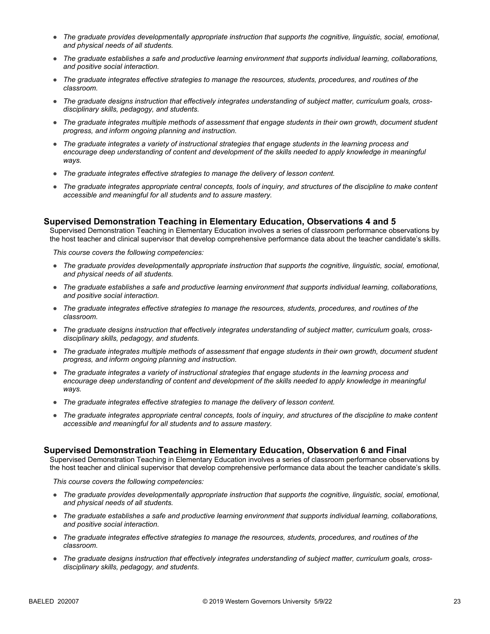- *The graduate provides developmentally appropriate instruction that supports the cognitive, linguistic, social, emotional, and physical needs of all students.*
- *The graduate establishes a safe and productive learning environment that supports individual learning, collaborations, and positive social interaction.*
- *The graduate integrates effective strategies to manage the resources, students, procedures, and routines of the classroom.*
- *The graduate designs instruction that effectively integrates understanding of subject matter, curriculum goals, crossdisciplinary skills, pedagogy, and students.*
- *The graduate integrates multiple methods of assessment that engage students in their own growth, document student progress, and inform ongoing planning and instruction.*
- *The graduate integrates a variety of instructional strategies that engage students in the learning process and encourage deep understanding of content and development of the skills needed to apply knowledge in meaningful ways.*
- *The graduate integrates effective strategies to manage the delivery of lesson content.*
- *The graduate integrates appropriate central concepts, tools of inquiry, and structures of the discipline to make content accessible and meaningful for all students and to assure mastery.*

### **Supervised Demonstration Teaching in Elementary Education, Observations 4 and 5**

Supervised Demonstration Teaching in Elementary Education involves a series of classroom performance observations by the host teacher and clinical supervisor that develop comprehensive performance data about the teacher candidate's skills.

*This course covers the following competencies:*

- *The graduate provides developmentally appropriate instruction that supports the cognitive, linguistic, social, emotional, and physical needs of all students.*
- *The graduate establishes a safe and productive learning environment that supports individual learning, collaborations, and positive social interaction.*
- *The graduate integrates effective strategies to manage the resources, students, procedures, and routines of the classroom.*
- *The graduate designs instruction that effectively integrates understanding of subject matter, curriculum goals, crossdisciplinary skills, pedagogy, and students.*
- *The graduate integrates multiple methods of assessment that engage students in their own growth, document student progress, and inform ongoing planning and instruction.*
- *The graduate integrates a variety of instructional strategies that engage students in the learning process and encourage deep understanding of content and development of the skills needed to apply knowledge in meaningful ways.*
- *The graduate integrates effective strategies to manage the delivery of lesson content.*
- *The graduate integrates appropriate central concepts, tools of inquiry, and structures of the discipline to make content accessible and meaningful for all students and to assure mastery.*

### **Supervised Demonstration Teaching in Elementary Education, Observation 6 and Final**

Supervised Demonstration Teaching in Elementary Education involves a series of classroom performance observations by the host teacher and clinical supervisor that develop comprehensive performance data about the teacher candidate's skills.

- *The graduate provides developmentally appropriate instruction that supports the cognitive, linguistic, social, emotional, and physical needs of all students.*
- *The graduate establishes a safe and productive learning environment that supports individual learning, collaborations, and positive social interaction.*
- *The graduate integrates effective strategies to manage the resources, students, procedures, and routines of the classroom.*
- *The graduate designs instruction that effectively integrates understanding of subject matter, curriculum goals, crossdisciplinary skills, pedagogy, and students.*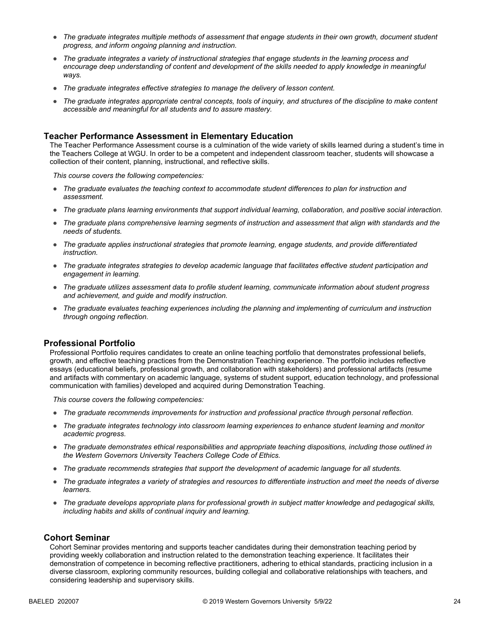- *The graduate integrates multiple methods of assessment that engage students in their own growth, document student progress, and inform ongoing planning and instruction.*
- *The graduate integrates a variety of instructional strategies that engage students in the learning process and*  encourage deep understanding of content and development of the skills needed to apply knowledge in meaningful *ways.*
- *The graduate integrates effective strategies to manage the delivery of lesson content.*
- The graduate integrates appropriate central concepts, tools of inquiry, and structures of the discipline to make content *accessible and meaningful for all students and to assure mastery.*

#### **Teacher Performance Assessment in Elementary Education**

The Teacher Performance Assessment course is a culmination of the wide variety of skills learned during a student's time in the Teachers College at WGU. In order to be a competent and independent classroom teacher, students will showcase a collection of their content, planning, instructional, and reflective skills.

*This course covers the following competencies:*

- *The graduate evaluates the teaching context to accommodate student differences to plan for instruction and assessment.*
- *The graduate plans learning environments that support individual learning, collaboration, and positive social interaction.*
- *The graduate plans comprehensive learning segments of instruction and assessment that align with standards and the needs of students.*
- *The graduate applies instructional strategies that promote learning, engage students, and provide differentiated instruction.*
- *The graduate integrates strategies to develop academic language that facilitates effective student participation and engagement in learning.*
- *The graduate utilizes assessment data to profile student learning, communicate information about student progress and achievement, and guide and modify instruction.*
- *The graduate evaluates teaching experiences including the planning and implementing of curriculum and instruction through ongoing reflection.*

#### **Professional Portfolio**

Professional Portfolio requires candidates to create an online teaching portfolio that demonstrates professional beliefs, growth, and effective teaching practices from the Demonstration Teaching experience. The portfolio includes reflective essays (educational beliefs, professional growth, and collaboration with stakeholders) and professional artifacts (resume and artifacts with commentary on academic language, systems of student support, education technology, and professional communication with families) developed and acquired during Demonstration Teaching.

*This course covers the following competencies:*

- *The graduate recommends improvements for instruction and professional practice through personal reflection.*
- *The graduate integrates technology into classroom learning experiences to enhance student learning and monitor academic progress.*
- *The graduate demonstrates ethical responsibilities and appropriate teaching dispositions, including those outlined in the Western Governors University Teachers College Code of Ethics.*
- *The graduate recommends strategies that support the development of academic language for all students.*
- *The graduate integrates a variety of strategies and resources to differentiate instruction and meet the needs of diverse learners.*
- *The graduate develops appropriate plans for professional growth in subject matter knowledge and pedagogical skills, including habits and skills of continual inquiry and learning.*

### **Cohort Seminar**

Cohort Seminar provides mentoring and supports teacher candidates during their demonstration teaching period by providing weekly collaboration and instruction related to the demonstration teaching experience. It facilitates their demonstration of competence in becoming reflective practitioners, adhering to ethical standards, practicing inclusion in a diverse classroom, exploring community resources, building collegial and collaborative relationships with teachers, and considering leadership and supervisory skills.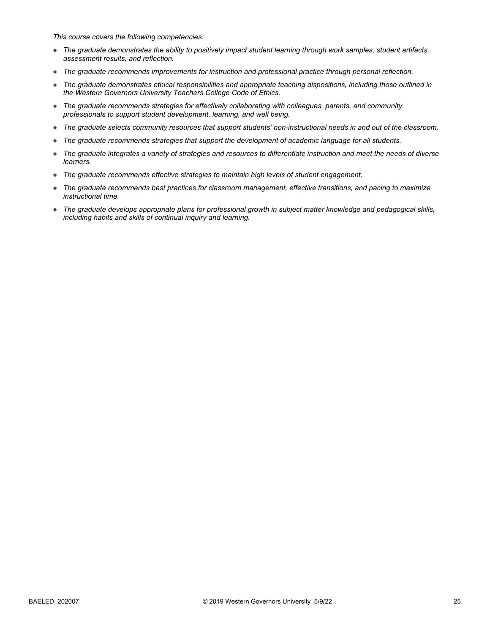- *The graduate demonstrates the ability to positively impact student learning through work samples, student artifacts, assessment results, and reflection.*
- *The graduate recommends improvements for instruction and professional practice through personal reflection.*
- *The graduate demonstrates ethical responsibilities and appropriate teaching dispositions, including those outlined in the Western Governors University Teachers College Code of Ethics.*
- *The graduate recommends strategies for effectively collaborating with colleagues, parents, and community professionals to support student development, learning, and well being.*
- *The graduate selects community resources that support students' non-instructional needs in and out of the classroom.*
- *The graduate recommends strategies that support the development of academic language for all students.*
- *The graduate integrates a variety of strategies and resources to differentiate instruction and meet the needs of diverse learners.*
- *The graduate recommends effective strategies to maintain high levels of student engagement.*
- *The graduate recommends best practices for classroom management, effective transitions, and pacing to maximize instructional time.*
- *The graduate develops appropriate plans for professional growth in subject matter knowledge and pedagogical skills, including habits and skills of continual inquiry and learning.*